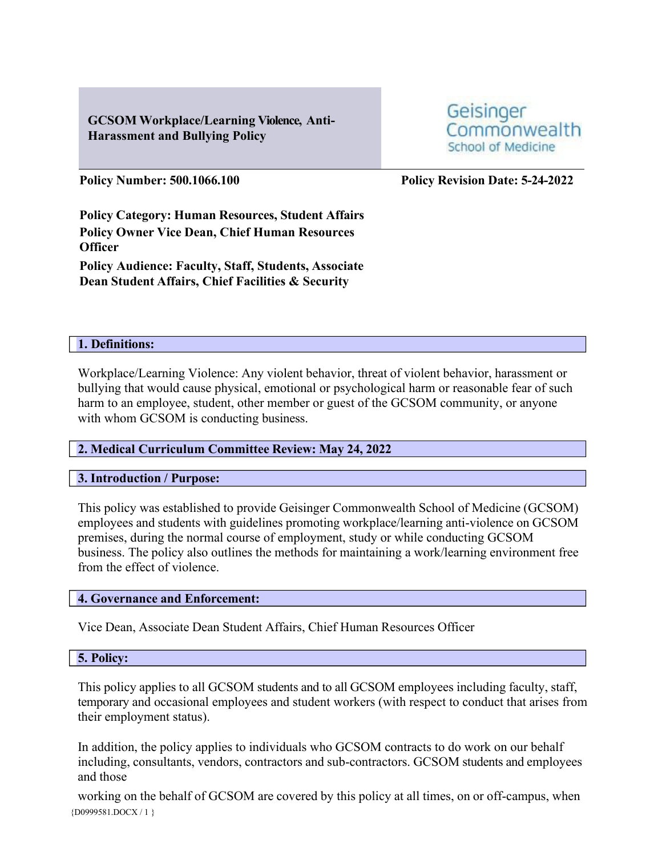# **GCSOM Workplace/Learning Violence, Anti-Harassment and Bullying Policy**

**Policy Number: 500.1066.100 Policy Revision Date: 5-24-2022**

School of Medicine

Commonwealth

Geisinger

**Policy Category: Human Resources, Student Affairs Policy Owner Vice Dean, Chief Human Resources Officer Policy Audience: Faculty, Staff, Students, Associate Dean Student Affairs, Chief Facilities & Security**

### **1. Definitions:**

Workplace/Learning Violence: Any violent behavior, threat of violent behavior, harassment or bullying that would cause physical, emotional or psychological harm or reasonable fear of such harm to an employee, student, other member or guest of the GCSOM community, or anyone with whom GCSOM is conducting business.

## **2. Medical Curriculum Committee Review: May 24, 2022**

### **3. Introduction / Purpose:**

This policy was established to provide Geisinger Commonwealth School of Medicine (GCSOM) employees and students with guidelines promoting workplace/learning anti-violence on GCSOM premises, during the normal course of employment, study or while conducting GCSOM business. The policy also outlines the methods for maintaining a work/learning environment free from the effect of violence.

### **4. Governance and Enforcement:**

Vice Dean, Associate Dean Student Affairs, Chief Human Resources Officer

### **5. Policy:**

This policy applies to all GCSOM students and to all GCSOM employees including faculty, staff, temporary and occasional employees and student workers (with respect to conduct that arises from their employment status).

In addition, the policy applies to individuals who GCSOM contracts to do work on our behalf including, consultants, vendors, contractors and sub-contractors. GCSOM students and employees and those

{D0999581.DOCX / 1 } working on the behalf of GCSOM are covered by this policy at all times, on or off-campus, when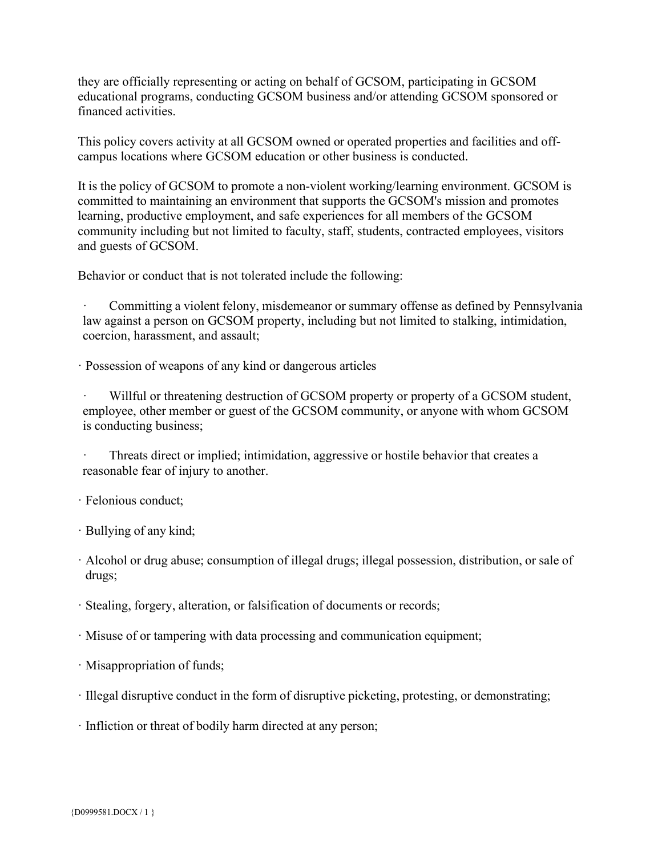they are officially representing or acting on behalf of GCSOM, participating in GCSOM educational programs, conducting GCSOM business and/or attending GCSOM sponsored or financed activities.

This policy covers activity at all GCSOM owned or operated properties and facilities and offcampus locations where GCSOM education or other business is conducted.

It is the policy of GCSOM to promote a non-violent working/learning environment. GCSOM is committed to maintaining an environment that supports the GCSOM's mission and promotes learning, productive employment, and safe experiences for all members of the GCSOM community including but not limited to faculty, staff, students, contracted employees, visitors and guests of GCSOM.

Behavior or conduct that is not tolerated include the following:

Committing a violent felony, misdemeanor or summary offense as defined by Pennsylvania law against a person on GCSOM property, including but not limited to stalking, intimidation, coercion, harassment, and assault;

· Possession of weapons of any kind or dangerous articles

Willful or threatening destruction of GCSOM property or property of a GCSOM student, employee, other member or guest of the GCSOM community, or anyone with whom GCSOM is conducting business;

Threats direct or implied; intimidation, aggressive or hostile behavior that creates a reasonable fear of injury to another.

· Felonious conduct;

· Bullying of any kind;

· Alcohol or drug abuse; consumption of illegal drugs; illegal possession, distribution, or sale of drugs;

· Stealing, forgery, alteration, or falsification of documents or records;

· Misuse of or tampering with data processing and communication equipment;

· Misappropriation of funds;

· Illegal disruptive conduct in the form of disruptive picketing, protesting, or demonstrating;

· Infliction or threat of bodily harm directed at any person;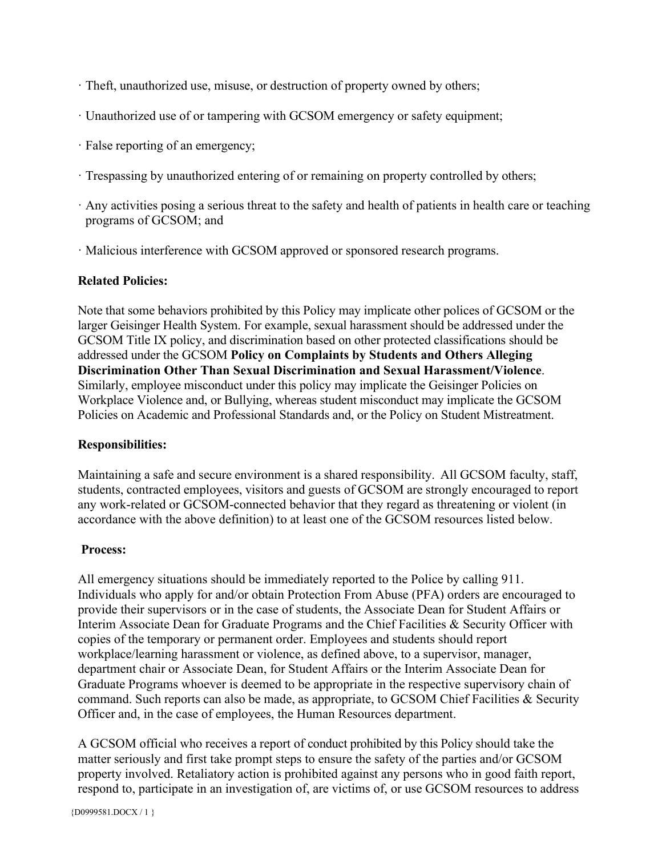- · Theft, unauthorized use, misuse, or destruction of property owned by others;
- · Unauthorized use of or tampering with GCSOM emergency or safety equipment;
- · False reporting of an emergency;
- · Trespassing by unauthorized entering of or remaining on property controlled by others;
- · Any activities posing a serious threat to the safety and health of patients in health care or teaching programs of GCSOM; and
- · Malicious interference with GCSOM approved or sponsored research programs.

## **Related Policies:**

Note that some behaviors prohibited by this Policy may implicate other polices of GCSOM or the larger Geisinger Health System. For example, sexual harassment should be addressed under the GCSOM Title IX policy, and discrimination based on other protected classifications should be addressed under the GCSOM **Policy on Complaints by Students and Others Alleging Discrimination Other Than Sexual Discrimination and Sexual Harassment/Violence**. Similarly, employee misconduct under this policy may implicate the Geisinger Policies on Workplace Violence and, or Bullying, whereas student misconduct may implicate the GCSOM Policies on Academic and Professional Standards and, or the Policy on Student Mistreatment.

### **Responsibilities:**

Maintaining a safe and secure environment is a shared responsibility. All GCSOM faculty, staff, students, contracted employees, visitors and guests of GCSOM are strongly encouraged to report any work-related or GCSOM-connected behavior that they regard as threatening or violent (in accordance with the above definition) to at least one of the GCSOM resources listed below.

## **Process:**

All emergency situations should be immediately reported to the Police by calling 911. Individuals who apply for and/or obtain Protection From Abuse (PFA) orders are encouraged to provide their supervisors or in the case of students, the Associate Dean for Student Affairs or Interim Associate Dean for Graduate Programs and the Chief Facilities & Security Officer with copies of the temporary or permanent order. Employees and students should report workplace/learning harassment or violence, as defined above, to a supervisor, manager, department chair or Associate Dean, for Student Affairs or the Interim Associate Dean for Graduate Programs whoever is deemed to be appropriate in the respective supervisory chain of command. Such reports can also be made, as appropriate, to GCSOM Chief Facilities & Security Officer and, in the case of employees, the Human Resources department.

A GCSOM official who receives a report of conduct prohibited by this Policy should take the matter seriously and first take prompt steps to ensure the safety of the parties and/or GCSOM property involved. Retaliatory action is prohibited against any persons who in good faith report, respond to, participate in an investigation of, are victims of, or use GCSOM resources to address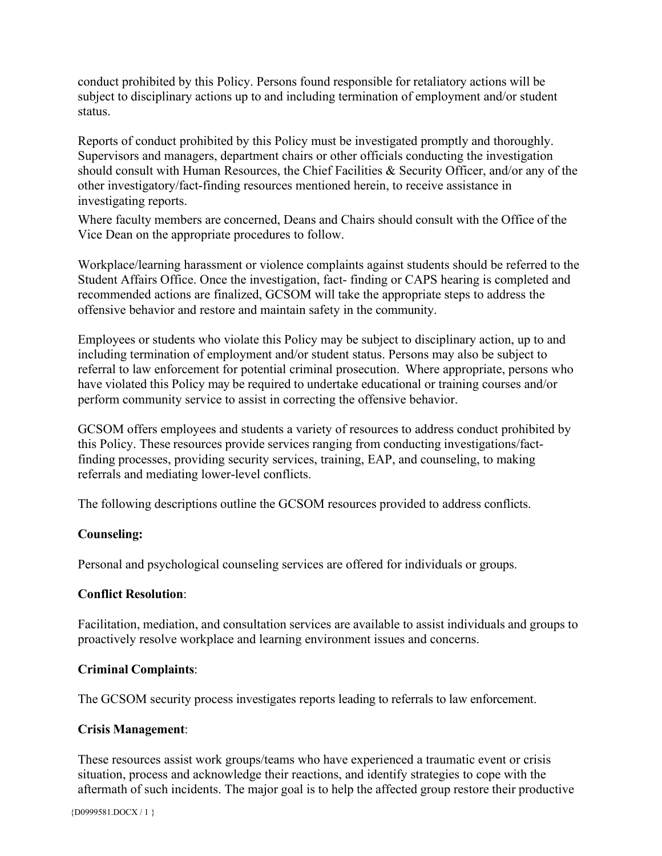conduct prohibited by this Policy. Persons found responsible for retaliatory actions will be subject to disciplinary actions up to and including termination of employment and/or student status.

Reports of conduct prohibited by this Policy must be investigated promptly and thoroughly. Supervisors and managers, department chairs or other officials conducting the investigation should consult with Human Resources, the Chief Facilities & Security Officer, and/or any of the other investigatory/fact-finding resources mentioned herein, to receive assistance in investigating reports.

Where faculty members are concerned, Deans and Chairs should consult with the Office of the Vice Dean on the appropriate procedures to follow.

Workplace/learning harassment or violence complaints against students should be referred to the Student Affairs Office. Once the investigation, fact- finding or CAPS hearing is completed and recommended actions are finalized, GCSOM will take the appropriate steps to address the offensive behavior and restore and maintain safety in the community.

Employees or students who violate this Policy may be subject to disciplinary action, up to and including termination of employment and/or student status. Persons may also be subject to referral to law enforcement for potential criminal prosecution. Where appropriate, persons who have violated this Policy may be required to undertake educational or training courses and/or perform community service to assist in correcting the offensive behavior.

GCSOM offers employees and students a variety of resources to address conduct prohibited by this Policy. These resources provide services ranging from conducting investigations/factfinding processes, providing security services, training, EAP, and counseling, to making referrals and mediating lower-level conflicts.

The following descriptions outline the GCSOM resources provided to address conflicts.

## **Counseling:**

Personal and psychological counseling services are offered for individuals or groups.

### **Conflict Resolution**:

Facilitation, mediation, and consultation services are available to assist individuals and groups to proactively resolve workplace and learning environment issues and concerns.

### **Criminal Complaints**:

The GCSOM security process investigates reports leading to referrals to law enforcement.

### **Crisis Management**:

These resources assist work groups/teams who have experienced a traumatic event or crisis situation, process and acknowledge their reactions, and identify strategies to cope with the aftermath of such incidents. The major goal is to help the affected group restore their productive